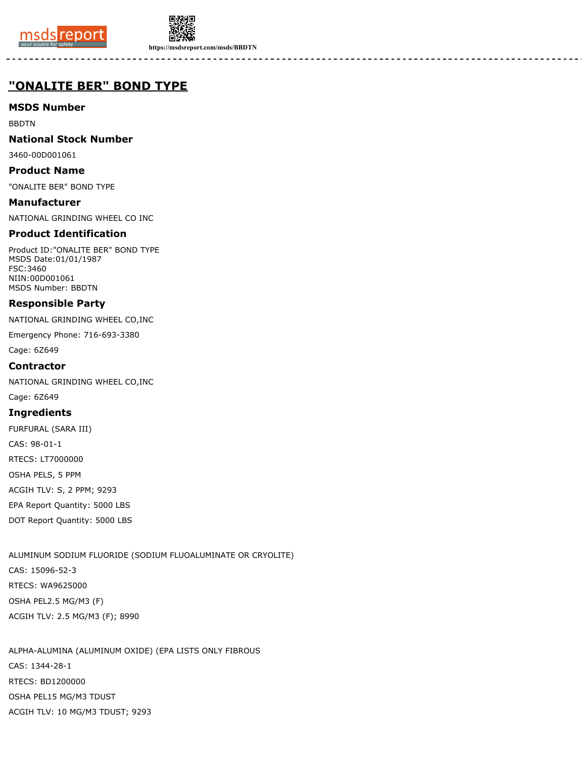



**https://msdsreport.com/msds/BBDTN**

# **"ONALITE BER" BOND TYPE**

## **MSDS Number**

BBDTN

## **National Stock Number**

3460-00D001061

### **Product Name**

"ONALITE BER" BOND TYPE

**Manufacturer** NATIONAL GRINDING WHEEL CO INC

## **Product Identification**

Product ID:"ONALITE BER" BOND TYPE MSDS Date:01/01/1987 FSC:3460 NIIN:00D001061 MSDS Number: BBDTN

### **Responsible Party**

NATIONAL GRINDING WHEEL CO,INC

Emergency Phone: 716-693-3380

Cage: 6Z649

### **Contractor**

NATIONAL GRINDING WHEEL CO,INC

Cage: 6Z649

#### **Ingredients**

FURFURAL (SARA III) CAS: 98-01-1 RTECS: LT7000000 OSHA PELS, 5 PPM ACGIH TLV: S, 2 PPM; 9293 EPA Report Quantity: 5000 LBS DOT Report Quantity: 5000 LBS

ALUMINUM SODIUM FLUORIDE (SODIUM FLUOALUMINATE OR CRYOLITE) CAS: 15096-52-3 RTECS: WA9625000 OSHA PEL2.5 MG/M3 (F) ACGIH TLV: 2.5 MG/M3 (F); 8990

ALPHA-ALUMINA (ALUMINUM OXIDE) (EPA LISTS ONLY FIBROUS CAS: 1344-28-1 RTECS: BD1200000 OSHA PEL15 MG/M3 TDUST ACGIH TLV: 10 MG/M3 TDUST; 9293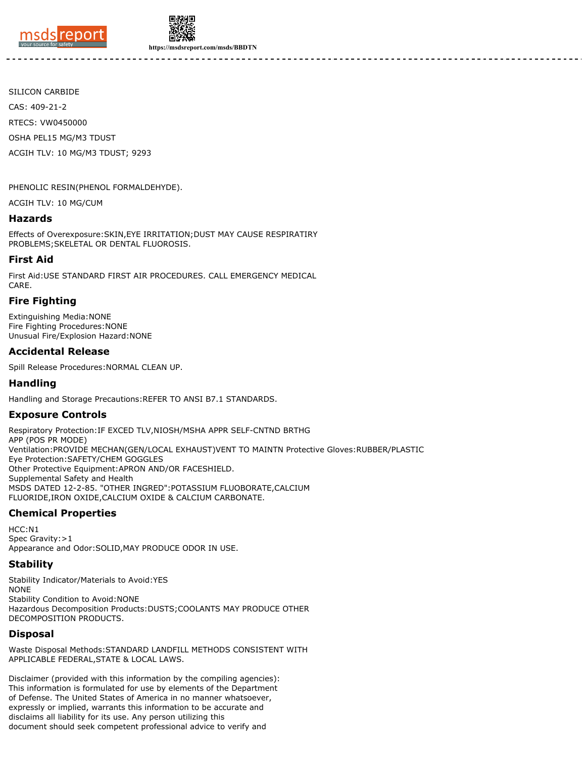



**https://msdsreport.com/msds/BBDTN**

SILICON CARBIDE CAS: 409-21-2 RTECS: VW0450000 OSHA PEL15 MG/M3 TDUST ACGIH TLV: 10 MG/M3 TDUST; 9293

PHENOLIC RESIN(PHENOL FORMALDEHYDE).

ACGIH TLV: 10 MG/CUM

#### **Hazards**

Effects of Overexposure:SKIN,EYE IRRITATION;DUST MAY CAUSE RESPIRATIRY PROBLEMS;SKELETAL OR DENTAL FLUOROSIS.

#### **First Aid**

First Aid:USE STANDARD FIRST AIR PROCEDURES. CALL EMERGENCY MEDICAL CARE.

#### **Fire Fighting**

Extinguishing Media:NONE Fire Fighting Procedures:NONE Unusual Fire/Explosion Hazard:NONE

#### **Accidental Release**

Spill Release Procedures:NORMAL CLEAN UP.

#### **Handling**

Handling and Storage Precautions:REFER TO ANSI B7.1 STANDARDS.

#### **Exposure Controls**

Respiratory Protection:IF EXCED TLV,NIOSH/MSHA APPR SELF-CNTND BRTHG APP (POS PR MODE) Ventilation:PROVIDE MECHAN(GEN/LOCAL EXHAUST)VENT TO MAINTN Protective Gloves:RUBBER/PLASTIC Eye Protection:SAFETY/CHEM GOGGLES Other Protective Equipment:APRON AND/OR FACESHIELD. Supplemental Safety and Health MSDS DATED 12-2-85. "OTHER INGRED":POTASSIUM FLUOBORATE,CALCIUM FLUORIDE,IRON OXIDE,CALCIUM OXIDE & CALCIUM CARBONATE.

## **Chemical Properties**

 $HCC·N1$ Spec Gravity: > 1 Appearance and Odor:SOLID,MAY PRODUCE ODOR IN USE.

#### **Stability**

Stability Indicator/Materials to Avoid:YES NONE Stability Condition to Avoid:NONE Hazardous Decomposition Products:DUSTS;COOLANTS MAY PRODUCE OTHER DECOMPOSITION PRODUCTS.

#### **Disposal**

Waste Disposal Methods:STANDARD LANDFILL METHODS CONSISTENT WITH APPLICABLE FEDERAL,STATE & LOCAL LAWS.

Disclaimer (provided with this information by the compiling agencies): This information is formulated for use by elements of the Department of Defense. The United States of America in no manner whatsoever, expressly or implied, warrants this information to be accurate and disclaims all liability for its use. Any person utilizing this document should seek competent professional advice to verify and